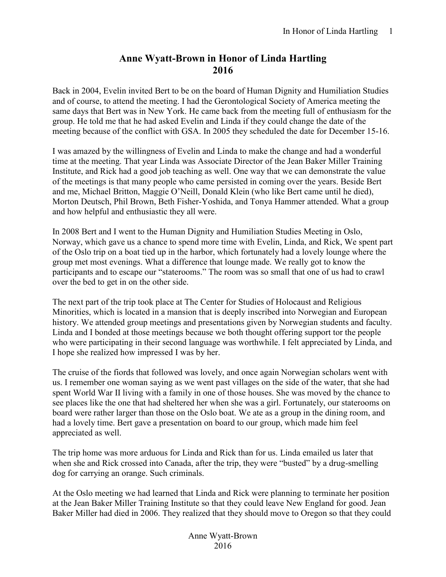## **Anne Wyatt-Brown in Honor of Linda Hartling 2016**

Back in 2004, Evelin invited Bert to be on the board of Human Dignity and Humiliation Studies and of course, to attend the meeting. I had the Gerontological Society of America meeting the same days that Bert was in New York. He came back from the meeting full of enthusiasm for the group. He told me that he had asked Evelin and Linda if they could change the date of the meeting because of the conflict with GSA. In 2005 they scheduled the date for December 15-16.

I was amazed by the willingness of Evelin and Linda to make the change and had a wonderful time at the meeting. That year Linda was Associate Director of the Jean Baker Miller Training Institute, and Rick had a good job teaching as well. One way that we can demonstrate the value of the meetings is that many people who came persisted in coming over the years. Beside Bert and me, Michael Britton, Maggie O'Neill, Donald Klein (who like Bert came until he died), Morton Deutsch, Phil Brown, Beth Fisher-Yoshida, and Tonya Hammer attended. What a group and how helpful and enthusiastic they all were.

In 2008 Bert and I went to the Human Dignity and Humiliation Studies Meeting in Oslo, Norway, which gave us a chance to spend more time with Evelin, Linda, and Rick, We spent part of the Oslo trip on a boat tied up in the harbor, which fortunately had a lovely lounge where the group met most evenings. What a difference that lounge made. We really got to know the participants and to escape our "staterooms." The room was so small that one of us had to crawl over the bed to get in on the other side.

The next part of the trip took place at The Center for Studies of Holocaust and Religious Minorities, which is located in a mansion that is deeply inscribed into Norwegian and European history. We attended group meetings and presentations given by Norwegian students and faculty. Linda and I bonded at those meetings because we both thought offering support tor the people who were participating in their second language was worthwhile. I felt appreciated by Linda, and I hope she realized how impressed I was by her.

The cruise of the fiords that followed was lovely, and once again Norwegian scholars went with us. I remember one woman saying as we went past villages on the side of the water, that she had spent World War II living with a family in one of those houses. She was moved by the chance to see places like the one that had sheltered her when she was a girl. Fortunately, our staterooms on board were rather larger than those on the Oslo boat. We ate as a group in the dining room, and had a lovely time. Bert gave a presentation on board to our group, which made him feel appreciated as well.

The trip home was more arduous for Linda and Rick than for us. Linda emailed us later that when she and Rick crossed into Canada, after the trip, they were "busted" by a drug-smelling dog for carrying an orange. Such criminals.

At the Oslo meeting we had learned that Linda and Rick were planning to terminate her position at the Jean Baker Miller Training Institute so that they could leave New England for good. Jean Baker Miller had died in 2006. They realized that they should move to Oregon so that they could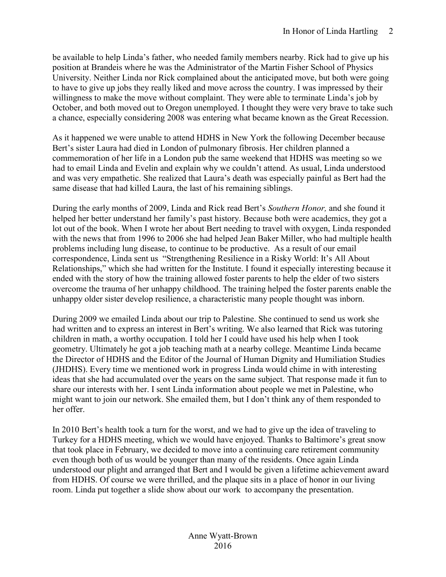be available to help Linda's father, who needed family members nearby. Rick had to give up his position at Brandeis where he was the Administrator of the Martin Fisher School of Physics University. Neither Linda nor Rick complained about the anticipated move, but both were going to have to give up jobs they really liked and move across the country. I was impressed by their willingness to make the move without complaint. They were able to terminate Linda's job by October, and both moved out to Oregon unemployed. I thought they were very brave to take such a chance, especially considering 2008 was entering what became known as the Great Recession.

As it happened we were unable to attend HDHS in New York the following December because Bert's sister Laura had died in London of pulmonary fibrosis. Her children planned a commemoration of her life in a London pub the same weekend that HDHS was meeting so we had to email Linda and Evelin and explain why we couldn't attend. As usual, Linda understood and was very empathetic. She realized that Laura's death was especially painful as Bert had the same disease that had killed Laura, the last of his remaining siblings.

During the early months of 2009, Linda and Rick read Bert's *Southern Honor,* and she found it helped her better understand her family's past history. Because both were academics, they got a lot out of the book. When I wrote her about Bert needing to travel with oxygen, Linda responded with the news that from 1996 to 2006 she had helped Jean Baker Miller, who had multiple health problems including lung disease, to continue to be productive. As a result of our email correspondence, Linda sent us "Strengthening Resilience in a Risky World: It's All About Relationships," which she had written for the Institute. I found it especially interesting because it ended with the story of how the training allowed foster parents to help the elder of two sisters overcome the trauma of her unhappy childhood. The training helped the foster parents enable the unhappy older sister develop resilience, a characteristic many people thought was inborn.

During 2009 we emailed Linda about our trip to Palestine. She continued to send us work she had written and to express an interest in Bert's writing. We also learned that Rick was tutoring children in math, a worthy occupation. I told her I could have used his help when I took geometry. Ultimately he got a job teaching math at a nearby college. Meantime Linda became the Director of HDHS and the Editor of the Journal of Human Dignity and Humiliation Studies (JHDHS). Every time we mentioned work in progress Linda would chime in with interesting ideas that she had accumulated over the years on the same subject. That response made it fun to share our interests with her. I sent Linda information about people we met in Palestine, who might want to join our network. She emailed them, but I don't think any of them responded to her offer.

In 2010 Bert's health took a turn for the worst, and we had to give up the idea of traveling to Turkey for a HDHS meeting, which we would have enjoyed. Thanks to Baltimore's great snow that took place in February, we decided to move into a continuing care retirement community even though both of us would be younger than many of the residents. Once again Linda understood our plight and arranged that Bert and I would be given a lifetime achievement award from HDHS. Of course we were thrilled, and the plaque sits in a place of honor in our living room. Linda put together a slide show about our work to accompany the presentation.